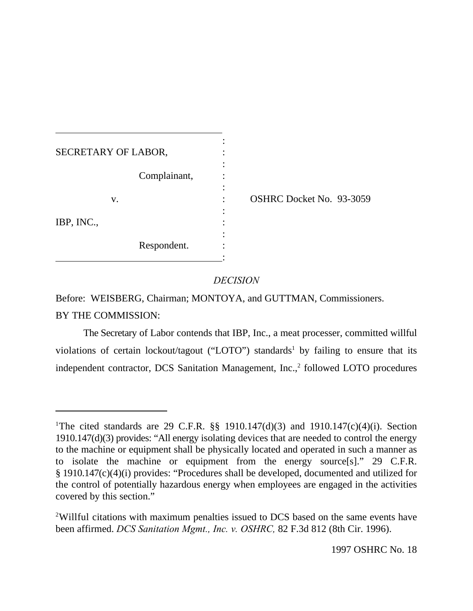| SECRETARY OF LABOR, |                          |
|---------------------|--------------------------|
| Complainant,        |                          |
| V.                  | OSHRC Docket No. 93-3059 |
| IBP, INC.,          |                          |
| Respondent.         |                          |

# *DECISION*

Before: WEISBERG, Chairman; MONTOYA, and GUTTMAN, Commissioners. BY THE COMMISSION:

The Secretary of Labor contends that IBP, Inc., a meat processer, committed willful violations of certain lockout/tagout ("LOTO") standards<sup>1</sup> by failing to ensure that its independent contractor, DCS Sanitation Management, Inc.,<sup>2</sup> followed LOTO procedures

<sup>&</sup>lt;sup>1</sup>The cited standards are 29 C.F.R.  $\S$ § 1910.147(d)(3) and 1910.147(c)(4)(i). Section 1910.147(d)(3) provides: "All energy isolating devices that are needed to control the energy to the machine or equipment shall be physically located and operated in such a manner as to isolate the machine or equipment from the energy source[s]." 29 C.F.R. § 1910.147(c)(4)(i) provides: "Procedures shall be developed, documented and utilized for the control of potentially hazardous energy when employees are engaged in the activities covered by this section."

<sup>&</sup>lt;sup>2</sup>Willful citations with maximum penalties issued to DCS based on the same events have been affirmed. *DCS Sanitation Mgmt., Inc. v. OSHRC,* 82 F.3d 812 (8th Cir. 1996).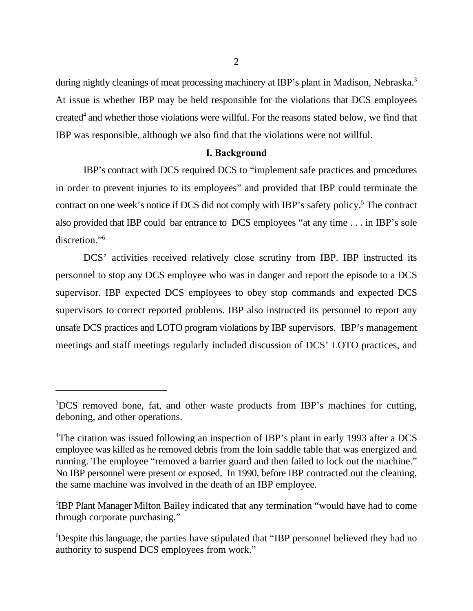during nightly cleanings of meat processing machinery at IBP's plant in Madison, Nebraska.<sup>3</sup> At issue is whether IBP may be held responsible for the violations that DCS employees created<sup>4</sup> and whether those violations were willful. For the reasons stated below, we find that IBP was responsible, although we also find that the violations were not willful.

## **I. Background**

IBP's contract with DCS required DCS to "implement safe practices and procedures in order to prevent injuries to its employees" and provided that IBP could terminate the contract on one week's notice if DCS did not comply with IBP's safety policy.<sup>5</sup> The contract also provided that IBP could bar entrance to DCS employees "at any time . . . in IBP's sole discretion."<sup>6</sup>

DCS' activities received relatively close scrutiny from IBP. IBP instructed its personnel to stop any DCS employee who was in danger and report the episode to a DCS supervisor. IBP expected DCS employees to obey stop commands and expected DCS supervisors to correct reported problems. IBP also instructed its personnel to report any unsafe DCS practices and LOTO program violations by IBP supervisors. IBP's management meetings and staff meetings regularly included discussion of DCS' LOTO practices, and

<sup>&</sup>lt;sup>3</sup>DCS removed bone, fat, and other waste products from IBP's machines for cutting, deboning, and other operations.

<sup>&</sup>lt;sup>4</sup>The citation was issued following an inspection of IBP's plant in early 1993 after a DCS employee was killed as he removed debris from the loin saddle table that was energized and running. The employee "removed a barrier guard and then failed to lock out the machine." No IBP personnel were present or exposed. In 1990, before IBP contracted out the cleaning, the same machine was involved in the death of an IBP employee.

<sup>&</sup>lt;sup>5</sup>IBP Plant Manager Milton Bailey indicated that any termination "would have had to come through corporate purchasing."

<sup>&</sup>lt;sup>6</sup>Despite this language, the parties have stipulated that "IBP personnel believed they had no authority to suspend DCS employees from work."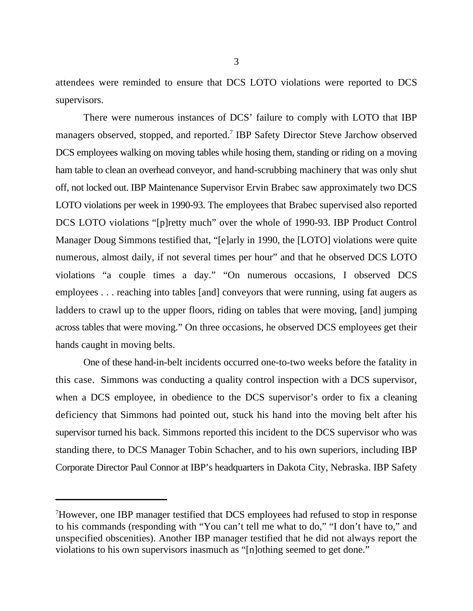attendees were reminded to ensure that DCS LOTO violations were reported to DCS supervisors.

There were numerous instances of DCS' failure to comply with LOTO that IBP managers observed, stopped, and reported.<sup>7</sup> IBP Safety Director Steve Jarchow observed DCS employees walking on moving tables while hosing them, standing or riding on a moving ham table to clean an overhead conveyor, and hand-scrubbing machinery that was only shut off, not locked out. IBP Maintenance Supervisor Ervin Brabec saw approximately two DCS LOTO violations per week in 1990-93. The employees that Brabec supervised also reported DCS LOTO violations "[p]retty much" over the whole of 1990-93. IBP Product Control Manager Doug Simmons testified that, "[e]arly in 1990, the [LOTO] violations were quite numerous, almost daily, if not several times per hour" and that he observed DCS LOTO violations "a couple times a day." "On numerous occasions, I observed DCS employees . . . reaching into tables [and] conveyors that were running, using fat augers as ladders to crawl up to the upper floors, riding on tables that were moving, [and] jumping across tables that were moving." On three occasions, he observed DCS employees get their hands caught in moving belts.

One of these hand-in-belt incidents occurred one-to-two weeks before the fatality in this case. Simmons was conducting a quality control inspection with a DCS supervisor, when a DCS employee, in obedience to the DCS supervisor's order to fix a cleaning deficiency that Simmons had pointed out, stuck his hand into the moving belt after his supervisor turned his back. Simmons reported this incident to the DCS supervisor who was standing there, to DCS Manager Tobin Schacher, and to his own superiors, including IBP Corporate Director Paul Connor at IBP's headquarters in Dakota City, Nebraska. IBP Safety

 $\mu$ <sup>7</sup>However, one IBP manager testified that DCS employees had refused to stop in response to his commands (responding with "You can't tell me what to do," "I don't have to," and unspecified obscenities). Another IBP manager testified that he did not always report the violations to his own supervisors inasmuch as "[n]othing seemed to get done."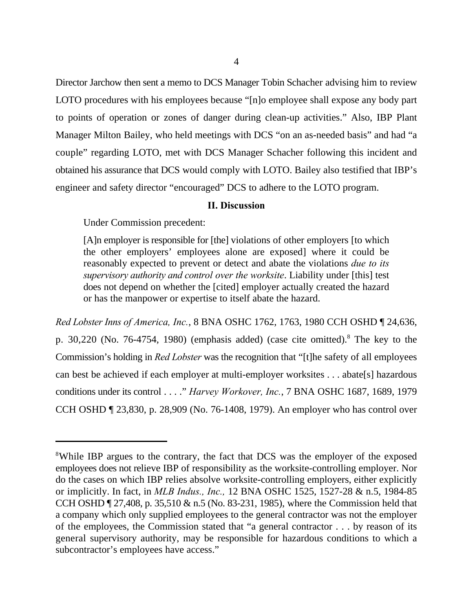Director Jarchow then sent a memo to DCS Manager Tobin Schacher advising him to review LOTO procedures with his employees because "[n]o employee shall expose any body part to points of operation or zones of danger during clean-up activities." Also, IBP Plant Manager Milton Bailey, who held meetings with DCS "on an as-needed basis" and had "a couple" regarding LOTO, met with DCS Manager Schacher following this incident and obtained his assurance that DCS would comply with LOTO. Bailey also testified that IBP's engineer and safety director "encouraged" DCS to adhere to the LOTO program.

### **II. Discussion**

Under Commission precedent:

[A]n employer is responsible for [the] violations of other employers [to which the other employers' employees alone are exposed] where it could be reasonably expected to prevent or detect and abate the violations *due to its supervisory authority and control over the worksite*. Liability under [this] test does not depend on whether the [cited] employer actually created the hazard or has the manpower or expertise to itself abate the hazard.

*Red Lobster Inns of America, Inc.*, 8 BNA OSHC 1762, 1763, 1980 CCH OSHD ¶ 24,636, p.  $30,220$  (No.  $76-4754$ , 1980) (emphasis added) (case cite omitted).<sup>8</sup> The key to the Commission's holding in *Red Lobster* was the recognition that "[t]he safety of all employees can best be achieved if each employer at multi-employer worksites . . . abate[s] hazardous conditions under its control . . . ." *Harvey Workover, Inc.*, 7 BNA OSHC 1687, 1689, 1979 CCH OSHD ¶ 23,830, p. 28,909 (No. 76-1408, 1979). An employer who has control over

<sup>&</sup>lt;sup>8</sup>While IBP argues to the contrary, the fact that DCS was the employer of the exposed employees does not relieve IBP of responsibility as the worksite-controlling employer. Nor do the cases on which IBP relies absolve worksite-controlling employers, either explicitly or implicitly. In fact, in *MLB Indus., Inc.,* 12 BNA OSHC 1525, 1527-28 & n.5, 1984-85 CCH OSHD ¶ 27,408, p. 35,510 & n.5 (No. 83-231, 1985), where the Commission held that a company which only supplied employees to the general contractor was not the employer of the employees, the Commission stated that "a general contractor . . . by reason of its general supervisory authority, may be responsible for hazardous conditions to which a subcontractor's employees have access."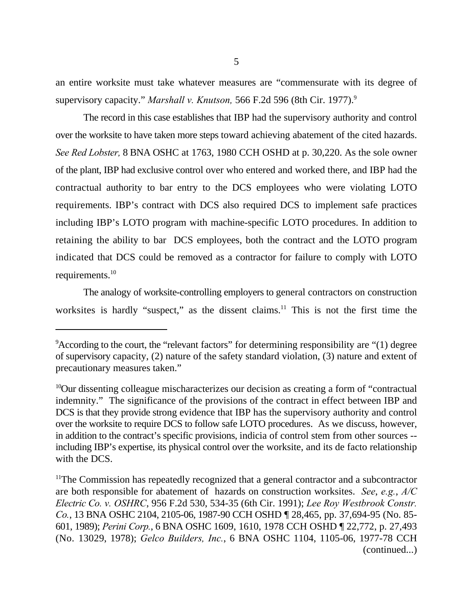an entire worksite must take whatever measures are "commensurate with its degree of supervisory capacity." *Marshall v. Knutson,* 566 F.2d 596 (8th Cir. 1977).<sup>9</sup>

The record in this case establishes that IBP had the supervisory authority and control over the worksite to have taken more steps toward achieving abatement of the cited hazards. *See Red Lobster,* 8 BNA OSHC at 1763, 1980 CCH OSHD at p. 30,220. As the sole owner of the plant, IBP had exclusive control over who entered and worked there, and IBP had the contractual authority to bar entry to the DCS employees who were violating LOTO requirements. IBP's contract with DCS also required DCS to implement safe practices including IBP's LOTO program with machine-specific LOTO procedures. In addition to retaining the ability to bar DCS employees, both the contract and the LOTO program indicated that DCS could be removed as a contractor for failure to comply with LOTO requirements.<sup>10</sup>

The analogy of worksite-controlling employers to general contractors on construction worksites is hardly "suspect," as the dissent claims. $11$  This is not the first time the

 $\alpha$ <sup>9</sup> According to the court, the "relevant factors" for determining responsibility are "(1) degree of supervisory capacity, (2) nature of the safety standard violation, (3) nature and extent of precautionary measures taken."

 $^{10}$ Our dissenting colleague mischaracterizes our decision as creating a form of "contractual" indemnity." The significance of the provisions of the contract in effect between IBP and DCS is that they provide strong evidence that IBP has the supervisory authority and control over the worksite to require DCS to follow safe LOTO procedures. As we discuss, however, in addition to the contract's specific provisions, indicia of control stem from other sources - including IBP's expertise, its physical control over the worksite, and its de facto relationship with the DCS.

 $11$ The Commission has repeatedly recognized that a general contractor and a subcontractor are both responsible for abatement of hazards on construction worksites. *See*, *e.g.*, *A/C Electric Co. v. OSHRC*, 956 F.2d 530, 534-35 (6th Cir. 1991); *Lee Roy Westbrook Constr. Co.*, 13 BNA OSHC 2104, 2105-06, 1987-90 CCH OSHD ¶ 28,465, pp. 37,694-95 (No. 85- 601, 1989); *Perini Corp.*, 6 BNA OSHC 1609, 1610, 1978 CCH OSHD ¶ 22,772, p. 27,493 (No. 13029, 1978); *Gelco Builders, Inc.*, 6 BNA OSHC 1104, 1105-06, 1977-78 CCH (continued...)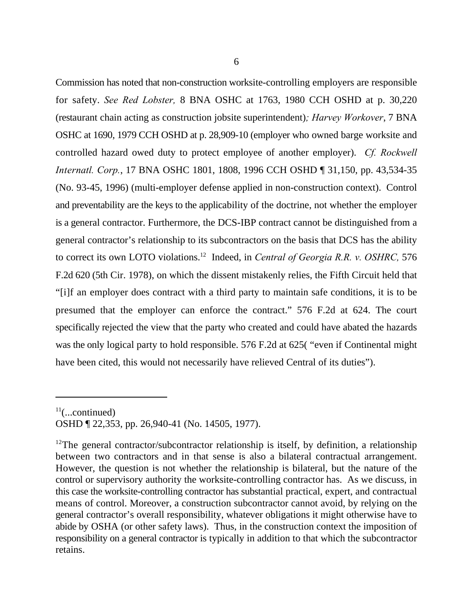Commission has noted that non-construction worksite-controlling employers are responsible for safety. *See Red Lobster,* 8 BNA OSHC at 1763, 1980 CCH OSHD at p. 30,220 (restaurant chain acting as construction jobsite superintendent)*; Harvey Workover*, 7 BNA OSHC at 1690, 1979 CCH OSHD at p. 28,909-10 (employer who owned barge worksite and controlled hazard owed duty to protect employee of another employer). *Cf. Rockwell Internatl. Corp.*, 17 BNA OSHC 1801, 1808, 1996 CCH OSHD ¶ 31,150, pp. 43,534-35 (No. 93-45, 1996) (multi-employer defense applied in non-construction context). Control and preventability are the keys to the applicability of the doctrine, not whether the employer is a general contractor. Furthermore, the DCS-IBP contract cannot be distinguished from a general contractor's relationship to its subcontractors on the basis that DCS has the ability to correct its own LOTO violations.<sup>12</sup> Indeed, in *Central of Georgia R.R. v. OSHRC*, 576 F.2d 620 (5th Cir. 1978), on which the dissent mistakenly relies, the Fifth Circuit held that "[i]f an employer does contract with a third party to maintain safe conditions, it is to be presumed that the employer can enforce the contract." 576 F.2d at 624. The court specifically rejected the view that the party who created and could have abated the hazards was the only logical party to hold responsible. 576 F.2d at 625( "even if Continental might have been cited, this would not necessarily have relieved Central of its duties").

 $11$ (...continued)

OSHD ¶ 22,353, pp. 26,940-41 (No. 14505, 1977).

 $12$ The general contractor/subcontractor relationship is itself, by definition, a relationship between two contractors and in that sense is also a bilateral contractual arrangement. However, the question is not whether the relationship is bilateral, but the nature of the control or supervisory authority the worksite-controlling contractor has. As we discuss, in this case the worksite-controlling contractor has substantial practical, expert, and contractual means of control. Moreover, a construction subcontractor cannot avoid, by relying on the general contractor's overall responsibility, whatever obligations it might otherwise have to abide by OSHA (or other safety laws). Thus, in the construction context the imposition of responsibility on a general contractor is typically in addition to that which the subcontractor retains.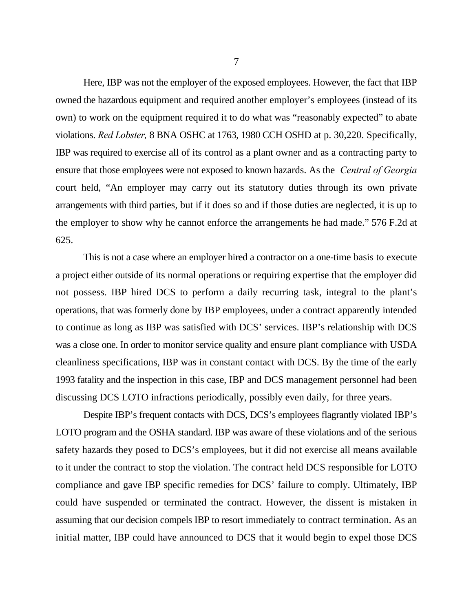Here, IBP was not the employer of the exposed employees. However, the fact that IBP owned the hazardous equipment and required another employer's employees (instead of its own) to work on the equipment required it to do what was "reasonably expected" to abate violations. *Red Lobster,* 8 BNA OSHC at 1763, 1980 CCH OSHD at p. 30,220. Specifically, IBP was required to exercise all of its control as a plant owner and as a contracting party to ensure that those employees were not exposed to known hazards. As the *Central of Georgia* court held, "An employer may carry out its statutory duties through its own private arrangements with third parties, but if it does so and if those duties are neglected, it is up to the employer to show why he cannot enforce the arrangements he had made." 576 F.2d at 625.

This is not a case where an employer hired a contractor on a one-time basis to execute a project either outside of its normal operations or requiring expertise that the employer did not possess. IBP hired DCS to perform a daily recurring task, integral to the plant's operations, that was formerly done by IBP employees, under a contract apparently intended to continue as long as IBP was satisfied with DCS' services. IBP's relationship with DCS was a close one. In order to monitor service quality and ensure plant compliance with USDA cleanliness specifications, IBP was in constant contact with DCS. By the time of the early 1993 fatality and the inspection in this case, IBP and DCS management personnel had been discussing DCS LOTO infractions periodically, possibly even daily, for three years.

Despite IBP's frequent contacts with DCS, DCS's employees flagrantly violated IBP's LOTO program and the OSHA standard. IBP was aware of these violations and of the serious safety hazards they posed to DCS's employees, but it did not exercise all means available to it under the contract to stop the violation. The contract held DCS responsible for LOTO compliance and gave IBP specific remedies for DCS' failure to comply. Ultimately, IBP could have suspended or terminated the contract. However, the dissent is mistaken in assuming that our decision compels IBP to resort immediately to contract termination. As an initial matter, IBP could have announced to DCS that it would begin to expel those DCS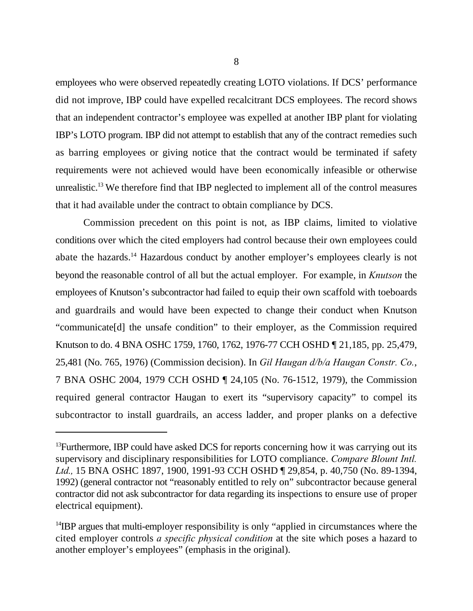employees who were observed repeatedly creating LOTO violations. If DCS' performance did not improve, IBP could have expelled recalcitrant DCS employees. The record shows that an independent contractor's employee was expelled at another IBP plant for violating IBP's LOTO program. IBP did not attempt to establish that any of the contract remedies such as barring employees or giving notice that the contract would be terminated if safety requirements were not achieved would have been economically infeasible or otherwise unrealistic.<sup>13</sup> We therefore find that IBP neglected to implement all of the control measures that it had available under the contract to obtain compliance by DCS.

Commission precedent on this point is not, as IBP claims, limited to violative conditions over which the cited employers had control because their own employees could abate the hazards.<sup>14</sup> Hazardous conduct by another employer's employees clearly is not beyond the reasonable control of all but the actual employer. For example, in *Knutson* the employees of Knutson's subcontractor had failed to equip their own scaffold with toeboards and guardrails and would have been expected to change their conduct when Knutson "communicate[d] the unsafe condition" to their employer, as the Commission required Knutson to do. 4 BNA OSHC 1759, 1760, 1762, 1976-77 CCH OSHD ¶ 21,185, pp. 25,479, 25,481 (No. 765, 1976) (Commission decision). In *Gil Haugan d/b/a Haugan Constr. Co.*, 7 BNA OSHC 2004, 1979 CCH OSHD ¶ 24,105 (No. 76-1512, 1979), the Commission required general contractor Haugan to exert its "supervisory capacity" to compel its subcontractor to install guardrails, an access ladder, and proper planks on a defective

<sup>&</sup>lt;sup>13</sup> Furthermore, IBP could have asked DCS for reports concerning how it was carrying out its supervisory and disciplinary responsibilities for LOTO compliance. *Compare Blount Intl. Ltd.,* 15 BNA OSHC 1897, 1900, 1991-93 CCH OSHD ¶ 29,854, p. 40,750 (No. 89-1394, 1992) (general contractor not "reasonably entitled to rely on" subcontractor because general contractor did not ask subcontractor for data regarding its inspections to ensure use of proper electrical equipment).

 $14$  IBP argues that multi-employer responsibility is only "applied in circumstances where the cited employer controls *a specific physical condition* at the site which poses a hazard to another employer's employees" (emphasis in the original).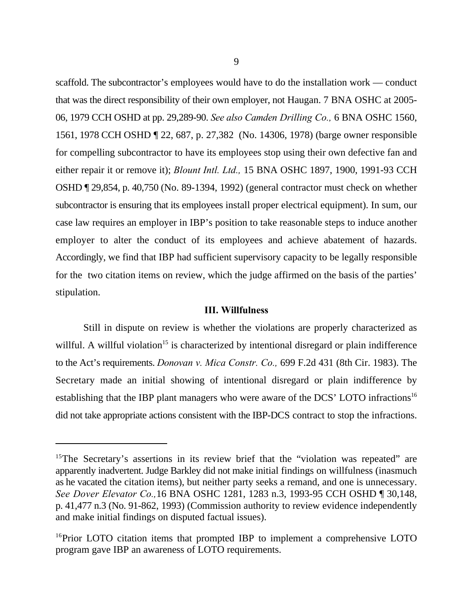scaffold. The subcontractor's employees would have to do the installation work — conduct that was the direct responsibility of their own employer, not Haugan. 7 BNA OSHC at 2005- 06, 1979 CCH OSHD at pp. 29,289-90. *See also Camden Drilling Co.,* 6 BNA OSHC 1560, 1561, 1978 CCH OSHD ¶ 22, 687, p. 27,382 (No. 14306, 1978) (barge owner responsible for compelling subcontractor to have its employees stop using their own defective fan and either repair it or remove it); *Blount Intl. Ltd.,* 15 BNA OSHC 1897, 1900, 1991-93 CCH OSHD ¶ 29,854, p. 40,750 (No. 89-1394, 1992) (general contractor must check on whether subcontractor is ensuring that its employees install proper electrical equipment). In sum, our case law requires an employer in IBP's position to take reasonable steps to induce another employer to alter the conduct of its employees and achieve abatement of hazards. Accordingly, we find that IBP had sufficient supervisory capacity to be legally responsible for the two citation items on review, which the judge affirmed on the basis of the parties' stipulation.

#### **III. Willfulness**

Still in dispute on review is whether the violations are properly characterized as willful. A willful violation<sup>15</sup> is characterized by intentional disregard or plain indifference to the Act's requirements. *Donovan v. Mica Constr. Co.,* 699 F.2d 431 (8th Cir. 1983). The Secretary made an initial showing of intentional disregard or plain indifference by establishing that the IBP plant managers who were aware of the DCS' LOTO infractions<sup>16</sup> did not take appropriate actions consistent with the IBP-DCS contract to stop the infractions.

 $15$ The Secretary's assertions in its review brief that the "violation was repeated" are apparently inadvertent. Judge Barkley did not make initial findings on willfulness (inasmuch as he vacated the citation items), but neither party seeks a remand, and one is unnecessary. *See Dover Elevator Co.,*16 BNA OSHC 1281, 1283 n.3, 1993-95 CCH OSHD ¶ 30,148, p. 41,477 n.3 (No. 91-862, 1993) (Commission authority to review evidence independently and make initial findings on disputed factual issues).

 $16$ Prior LOTO citation items that prompted IBP to implement a comprehensive LOTO program gave IBP an awareness of LOTO requirements.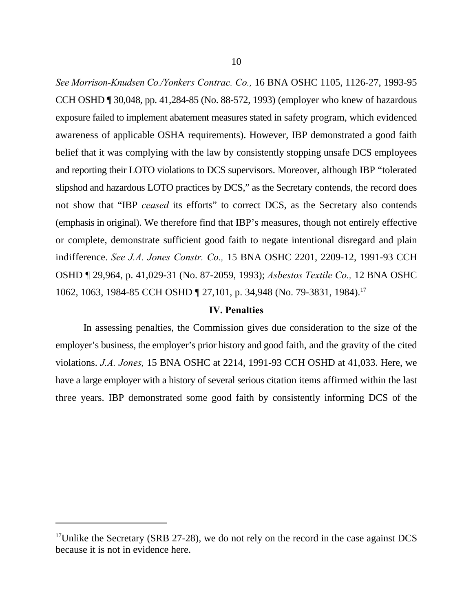*See Morrison-Knudsen Co./Yonkers Contrac. Co.,* 16 BNA OSHC 1105, 1126-27, 1993-95 CCH OSHD ¶ 30,048, pp. 41,284-85 (No. 88-572, 1993) (employer who knew of hazardous exposure failed to implement abatement measures stated in safety program, which evidenced awareness of applicable OSHA requirements). However, IBP demonstrated a good faith belief that it was complying with the law by consistently stopping unsafe DCS employees and reporting their LOTO violations to DCS supervisors. Moreover, although IBP "tolerated slipshod and hazardous LOTO practices by DCS," as the Secretary contends, the record does not show that "IBP *ceased* its efforts" to correct DCS, as the Secretary also contends (emphasis in original). We therefore find that IBP's measures, though not entirely effective or complete, demonstrate sufficient good faith to negate intentional disregard and plain indifference. *See J.A. Jones Constr. Co.,* 15 BNA OSHC 2201, 2209-12, 1991-93 CCH OSHD ¶ 29,964, p. 41,029-31 (No. 87-2059, 1993); *Asbestos Textile Co.,* 12 BNA OSHC 1062, 1063, 1984-85 CCH OSHD ¶ 27,101, p. 34,948 (No. 79-3831, 1984).<sup>17</sup>

## **IV. Penalties**

In assessing penalties, the Commission gives due consideration to the size of the employer's business, the employer's prior history and good faith, and the gravity of the cited violations. *J.A. Jones,* 15 BNA OSHC at 2214, 1991-93 CCH OSHD at 41,033. Here, we have a large employer with a history of several serious citation items affirmed within the last three years. IBP demonstrated some good faith by consistently informing DCS of the

 $17$ Unlike the Secretary (SRB 27-28), we do not rely on the record in the case against DCS because it is not in evidence here.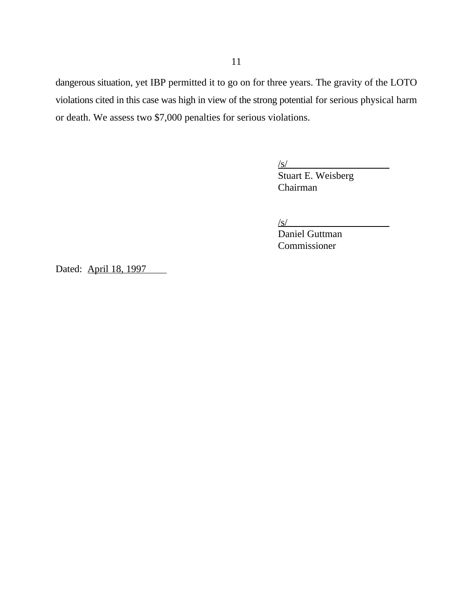dangerous situation, yet IBP permitted it to go on for three years. The gravity of the LOTO violations cited in this case was high in view of the strong potential for serious physical harm or death. We assess two \$7,000 penalties for serious violations.

/s/

Stuart E. Weisberg Chairman

 $\sqrt{s}$ /

Daniel Guttman Commissioner

Dated: April 18, 1997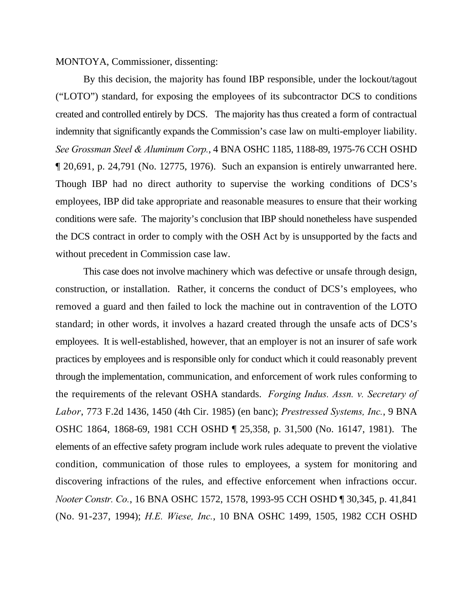MONTOYA, Commissioner, dissenting:

By this decision, the majority has found IBP responsible, under the lockout/tagout ("LOTO") standard, for exposing the employees of its subcontractor DCS to conditions created and controlled entirely by DCS. The majority has thus created a form of contractual indemnity that significantly expands the Commission's case law on multi-employer liability. *See Grossman Steel & Aluminum Corp.*, 4 BNA OSHC 1185, 1188-89, 1975-76 CCH OSHD ¶ 20,691, p. 24,791 (No. 12775, 1976). Such an expansion is entirely unwarranted here. Though IBP had no direct authority to supervise the working conditions of DCS's employees, IBP did take appropriate and reasonable measures to ensure that their working conditions were safe. The majority's conclusion that IBP should nonetheless have suspended the DCS contract in order to comply with the OSH Act by is unsupported by the facts and without precedent in Commission case law.

This case does not involve machinery which was defective or unsafe through design, construction, or installation. Rather, it concerns the conduct of DCS's employees, who removed a guard and then failed to lock the machine out in contravention of the LOTO standard; in other words, it involves a hazard created through the unsafe acts of DCS's employees. It is well-established, however, that an employer is not an insurer of safe work practices by employees and is responsible only for conduct which it could reasonably prevent through the implementation, communication, and enforcement of work rules conforming to the requirements of the relevant OSHA standards. *Forging Indus. Assn. v. Secretary of Labor*, 773 F.2d 1436, 1450 (4th Cir. 1985) (en banc); *Prestressed Systems, Inc.*, 9 BNA OSHC 1864, 1868-69, 1981 CCH OSHD ¶ 25,358, p. 31,500 (No. 16147, 1981). The elements of an effective safety program include work rules adequate to prevent the violative condition, communication of those rules to employees, a system for monitoring and discovering infractions of the rules, and effective enforcement when infractions occur. *Nooter Constr. Co.*, 16 BNA OSHC 1572, 1578, 1993-95 CCH OSHD ¶ 30,345, p. 41,841 (No. 91-237, 1994); *H.E. Wiese, Inc.*, 10 BNA OSHC 1499, 1505, 1982 CCH OSHD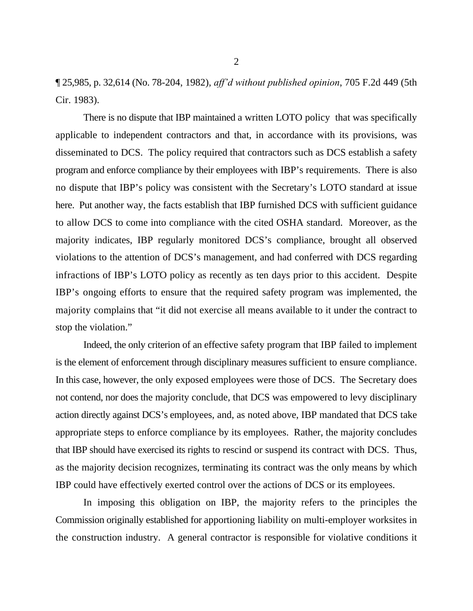¶ 25,985, p. 32,614 (No. 78-204, 1982), *aff'd without published opinion*, 705 F.2d 449 (5th Cir. 1983).

There is no dispute that IBP maintained a written LOTO policy that was specifically applicable to independent contractors and that, in accordance with its provisions, was disseminated to DCS. The policy required that contractors such as DCS establish a safety program and enforce compliance by their employees with IBP's requirements. There is also no dispute that IBP's policy was consistent with the Secretary's LOTO standard at issue here. Put another way, the facts establish that IBP furnished DCS with sufficient guidance to allow DCS to come into compliance with the cited OSHA standard. Moreover, as the majority indicates, IBP regularly monitored DCS's compliance, brought all observed violations to the attention of DCS's management, and had conferred with DCS regarding infractions of IBP's LOTO policy as recently as ten days prior to this accident. Despite IBP's ongoing efforts to ensure that the required safety program was implemented, the majority complains that "it did not exercise all means available to it under the contract to stop the violation."

Indeed, the only criterion of an effective safety program that IBP failed to implement is the element of enforcement through disciplinary measures sufficient to ensure compliance. In this case, however, the only exposed employees were those of DCS. The Secretary does not contend, nor does the majority conclude, that DCS was empowered to levy disciplinary action directly against DCS's employees, and, as noted above, IBP mandated that DCS take appropriate steps to enforce compliance by its employees. Rather, the majority concludes that IBP should have exercised its rights to rescind or suspend its contract with DCS. Thus, as the majority decision recognizes, terminating its contract was the only means by which IBP could have effectively exerted control over the actions of DCS or its employees.

In imposing this obligation on IBP, the majority refers to the principles the Commission originally established for apportioning liability on multi-employer worksites in the construction industry. A general contractor is responsible for violative conditions it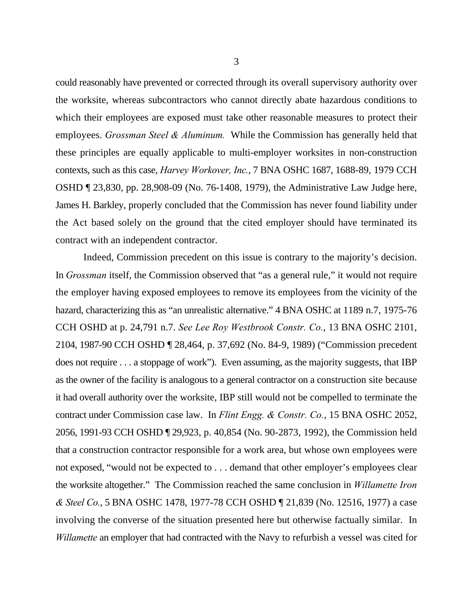could reasonably have prevented or corrected through its overall supervisory authority over the worksite, whereas subcontractors who cannot directly abate hazardous conditions to which their employees are exposed must take other reasonable measures to protect their employees. *Grossman Steel & Aluminum.* While the Commission has generally held that these principles are equally applicable to multi-employer worksites in non-construction contexts, such as this case, *Harvey Workover, Inc.*, 7 BNA OSHC 1687, 1688-89, 1979 CCH OSHD ¶ 23,830, pp. 28,908-09 (No. 76-1408, 1979), the Administrative Law Judge here, James H. Barkley, properly concluded that the Commission has never found liability under the Act based solely on the ground that the cited employer should have terminated its contract with an independent contractor.

Indeed, Commission precedent on this issue is contrary to the majority's decision. In *Grossman* itself, the Commission observed that "as a general rule," it would not require the employer having exposed employees to remove its employees from the vicinity of the hazard, characterizing this as "an unrealistic alternative." 4 BNA OSHC at 1189 n.7, 1975-76 CCH OSHD at p. 24,791 n.7. *See Lee Roy Westbrook Constr. Co.*, 13 BNA OSHC 2101, 2104, 1987-90 CCH OSHD ¶ 28,464, p. 37,692 (No. 84-9, 1989) ("Commission precedent does not require . . . a stoppage of work"). Even assuming, as the majority suggests, that IBP as the owner of the facility is analogous to a general contractor on a construction site because it had overall authority over the worksite, IBP still would not be compelled to terminate the contract under Commission case law. In *Flint Engg. & Constr. Co.*, 15 BNA OSHC 2052, 2056, 1991-93 CCH OSHD ¶ 29,923, p. 40,854 (No. 90-2873, 1992), the Commission held that a construction contractor responsible for a work area, but whose own employees were not exposed, "would not be expected to . . . demand that other employer's employees clear the worksite altogether." The Commission reached the same conclusion in *Willamette Iron & Steel Co.*, 5 BNA OSHC 1478, 1977-78 CCH OSHD ¶ 21,839 (No. 12516, 1977) a case involving the converse of the situation presented here but otherwise factually similar. In *Willamette* an employer that had contracted with the Navy to refurbish a vessel was cited for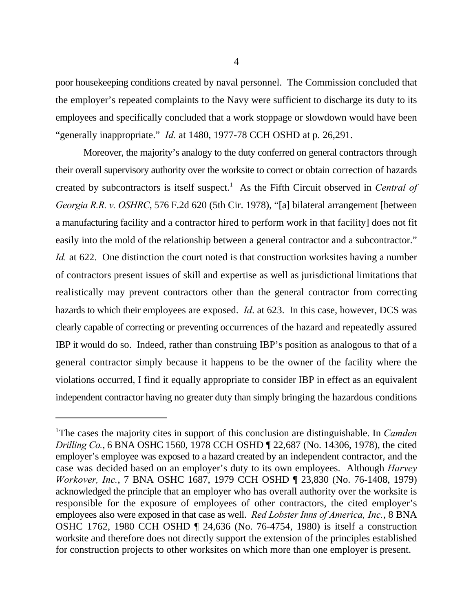poor housekeeping conditions created by naval personnel. The Commission concluded that the employer's repeated complaints to the Navy were sufficient to discharge its duty to its employees and specifically concluded that a work stoppage or slowdown would have been "generally inappropriate." *Id.* at 1480, 1977-78 CCH OSHD at p. 26,291.

Moreover, the majority's analogy to the duty conferred on general contractors through their overall supervisory authority over the worksite to correct or obtain correction of hazards created by subcontractors is itself suspect.<sup>1</sup> As the Fifth Circuit observed in *Central of Georgia R.R. v. OSHRC*, 576 F.2d 620 (5th Cir. 1978), "[a] bilateral arrangement [between a manufacturing facility and a contractor hired to perform work in that facility] does not fit easily into the mold of the relationship between a general contractor and a subcontractor." *Id.* at 622. One distinction the court noted is that construction worksites having a number of contractors present issues of skill and expertise as well as jurisdictional limitations that realistically may prevent contractors other than the general contractor from correcting hazards to which their employees are exposed. *Id*. at 623. In this case, however, DCS was clearly capable of correcting or preventing occurrences of the hazard and repeatedly assured IBP it would do so. Indeed, rather than construing IBP's position as analogous to that of a general contractor simply because it happens to be the owner of the facility where the violations occurred, I find it equally appropriate to consider IBP in effect as an equivalent independent contractor having no greater duty than simply bringing the hazardous conditions

<sup>&</sup>lt;sup>1</sup>The cases the majority cites in support of this conclusion are distinguishable. In *Camden Drilling Co.*, 6 BNA OSHC 1560, 1978 CCH OSHD ¶ 22,687 (No. 14306, 1978), the cited employer's employee was exposed to a hazard created by an independent contractor, and the case was decided based on an employer's duty to its own employees. Although *Harvey Workover, Inc.*, 7 BNA OSHC 1687, 1979 CCH OSHD ¶ 23,830 (No. 76-1408, 1979) acknowledged the principle that an employer who has overall authority over the worksite is responsible for the exposure of employees of other contractors, the cited employer's employees also were exposed in that case as well. *Red Lobster Inns of America, Inc.*, 8 BNA OSHC 1762, 1980 CCH OSHD ¶ 24,636 (No. 76-4754, 1980) is itself a construction worksite and therefore does not directly support the extension of the principles established for construction projects to other worksites on which more than one employer is present.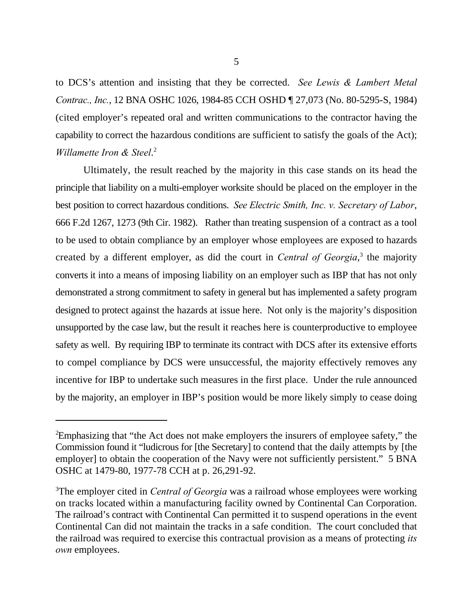to DCS's attention and insisting that they be corrected. *See Lewis & Lambert Metal Contrac., Inc.*, 12 BNA OSHC 1026, 1984-85 CCH OSHD ¶ 27,073 (No. 80-5295-S, 1984) (cited employer's repeated oral and written communications to the contractor having the capability to correct the hazardous conditions are sufficient to satisfy the goals of the Act); *Willamette Iron & Steel*. 2

Ultimately, the result reached by the majority in this case stands on its head the principle that liability on a multi-employer worksite should be placed on the employer in the best position to correct hazardous conditions. *See Electric Smith, Inc. v. Secretary of Labor*, 666 F.2d 1267, 1273 (9th Cir. 1982). Rather than treating suspension of a contract as a tool to be used to obtain compliance by an employer whose employees are exposed to hazards created by a different employer, as did the court in *Central of Georgia*,<sup>3</sup> the majority converts it into a means of imposing liability on an employer such as IBP that has not only demonstrated a strong commitment to safety in general but has implemented a safety program designed to protect against the hazards at issue here. Not only is the majority's disposition unsupported by the case law, but the result it reaches here is counterproductive to employee safety as well. By requiring IBP to terminate its contract with DCS after its extensive efforts to compel compliance by DCS were unsuccessful, the majority effectively removes any incentive for IBP to undertake such measures in the first place. Under the rule announced by the majority, an employer in IBP's position would be more likely simply to cease doing

<sup>&</sup>lt;sup>2</sup>Emphasizing that "the Act does not make employers the insurers of employee safety," the Commission found it "ludicrous for [the Secretary] to contend that the daily attempts by [the employer] to obtain the cooperation of the Navy were not sufficiently persistent." 5 BNA OSHC at 1479-80, 1977-78 CCH at p. 26,291-92.

<sup>&</sup>lt;sup>3</sup>The employer cited in *Central of Georgia* was a railroad whose employees were working on tracks located within a manufacturing facility owned by Continental Can Corporation. The railroad's contract with Continental Can permitted it to suspend operations in the event Continental Can did not maintain the tracks in a safe condition. The court concluded that the railroad was required to exercise this contractual provision as a means of protecting *its own* employees.